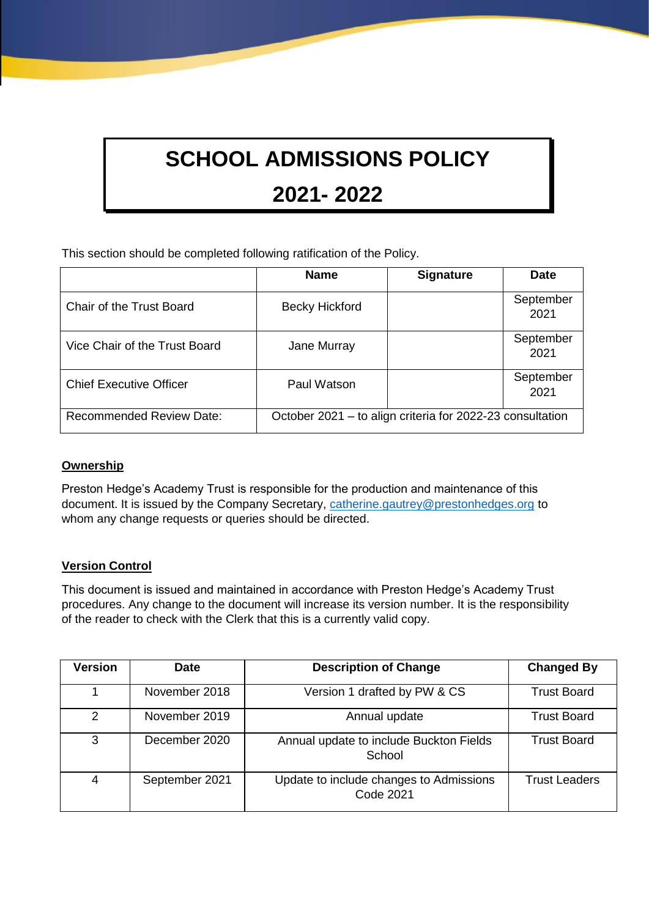# **SCHOOL ADMISSIONS POLICY**

# **2021- 2022**

This section should be completed following ratification of the Policy.

|                                 | <b>Name</b>           | <b>Signature</b>                                          | <b>Date</b>       |
|---------------------------------|-----------------------|-----------------------------------------------------------|-------------------|
| Chair of the Trust Board        | <b>Becky Hickford</b> |                                                           | September<br>2021 |
| Vice Chair of the Trust Board   | Jane Murray           |                                                           | September<br>2021 |
| <b>Chief Executive Officer</b>  | Paul Watson           |                                                           | September<br>2021 |
| <b>Recommended Review Date:</b> |                       | October 2021 - to align criteria for 2022-23 consultation |                   |

#### **Ownership**

Preston Hedge's Academy Trust is responsible for the production and maintenance of this document. It is issued by the Company Secretary, [catherine.gautrey@prestonhedges.org](mailto:catherine.gautrey@prestonhedges.org) to whom any change requests or queries should be directed.

#### **Version Control**

This document is issued and maintained in accordance with Preston Hedge's Academy Trust procedures. Any change to the document will increase its version number. It is the responsibility of the reader to check with the Clerk that this is a currently valid copy.

| <b>Version</b> | <b>Date</b>    | <b>Description of Change</b>                                | <b>Changed By</b>    |
|----------------|----------------|-------------------------------------------------------------|----------------------|
|                | November 2018  | Version 1 drafted by PW & CS                                | <b>Trust Board</b>   |
| 2              | November 2019  | Annual update                                               | <b>Trust Board</b>   |
| 3              | December 2020  | Annual update to include Buckton Fields<br>School           | <b>Trust Board</b>   |
| 4              | September 2021 | Update to include changes to Admissions<br><b>Code 2021</b> | <b>Trust Leaders</b> |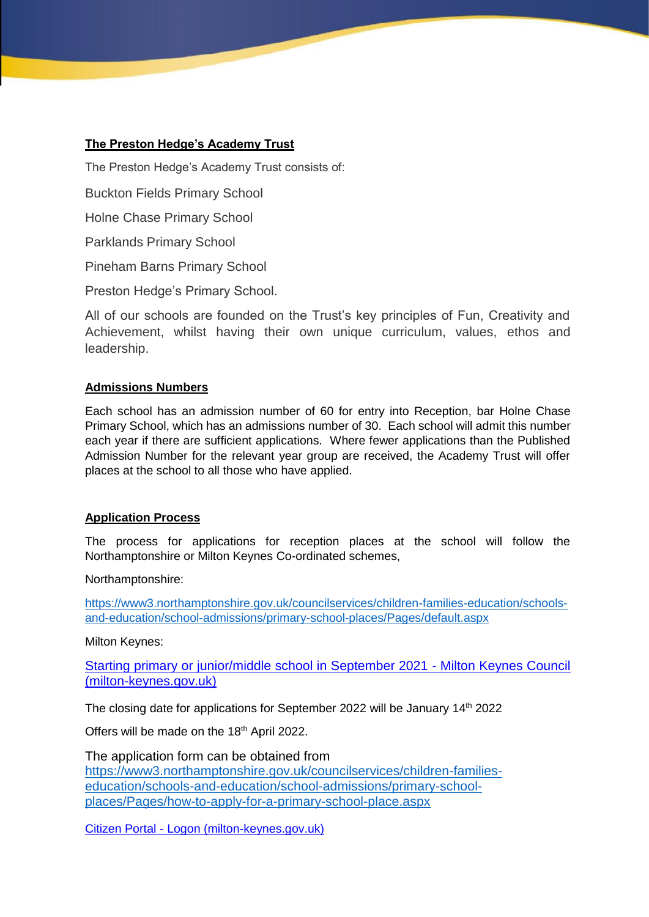# **The Preston Hedge's Academy Trust**

The Preston Hedge's Academy Trust consists of:

Buckton Fields Primary School

Holne Chase Primary School

Parklands Primary School

Pineham Barns Primary School

Preston Hedge's Primary School.

All of our schools are founded on the Trust's key principles of Fun, Creativity and Achievement, whilst having their own unique curriculum, values, ethos and leadership.

#### **Admissions Numbers**

Each school has an admission number of 60 for entry into Reception, bar Holne Chase Primary School, which has an admissions number of 30. Each school will admit this number each year if there are sufficient applications. Where fewer applications than the Published Admission Number for the relevant year group are received, the Academy Trust will offer places at the school to all those who have applied.

#### **Application Process**

The process for applications for reception places at the school will follow the Northamptonshire or Milton Keynes Co-ordinated schemes,

Northamptonshire:

[https://www3.northamptonshire.gov.uk/councilservices/children-families-education/schools](https://www3.northamptonshire.gov.uk/councilservices/children-families-education/schools-and-education/school-admissions/primary-school-places/Pages/default.aspx)[and-education/school-admissions/primary-school-places/Pages/default.aspx](https://www3.northamptonshire.gov.uk/councilservices/children-families-education/schools-and-education/school-admissions/primary-school-places/Pages/default.aspx)

Milton Keynes:

[Starting primary or junior/middle school in September 2021 -](https://www.milton-keynes.gov.uk/schools-and-lifelong-learning/school-admissions/starting-primary-or-junior-middle-school-in-september-2021) Milton Keynes Council [\(milton-keynes.gov.uk\)](https://www.milton-keynes.gov.uk/schools-and-lifelong-learning/school-admissions/starting-primary-or-junior-middle-school-in-september-2021)

The closing date for applications for September 2022 will be January 14<sup>th</sup> 2022

Offers will be made on the 18<sup>th</sup> April 2022.

The application form can be obtained from [https://www3.northamptonshire.gov.uk/councilservices/children-families](https://www3.northamptonshire.gov.uk/councilservices/children-families-education/schools-and-education/school-admissions/primary-school-places/Pages/how-to-apply-for-a-primary-school-place.aspx)[education/schools-and-education/school-admissions/primary-school](https://www3.northamptonshire.gov.uk/councilservices/children-families-education/schools-and-education/school-admissions/primary-school-places/Pages/how-to-apply-for-a-primary-school-place.aspx)[places/Pages/how-to-apply-for-a-primary-school-place.aspx](https://www3.northamptonshire.gov.uk/councilservices/children-families-education/schools-and-education/school-admissions/primary-school-places/Pages/how-to-apply-for-a-primary-school-place.aspx)

Citizen Portal - [Logon \(milton-keynes.gov.uk\)](https://emsonline.milton-keynes.gov.uk/CitizenPortal_LIVE/en?ReturnUrl=%2FCitizenPortal_LIVE%2F)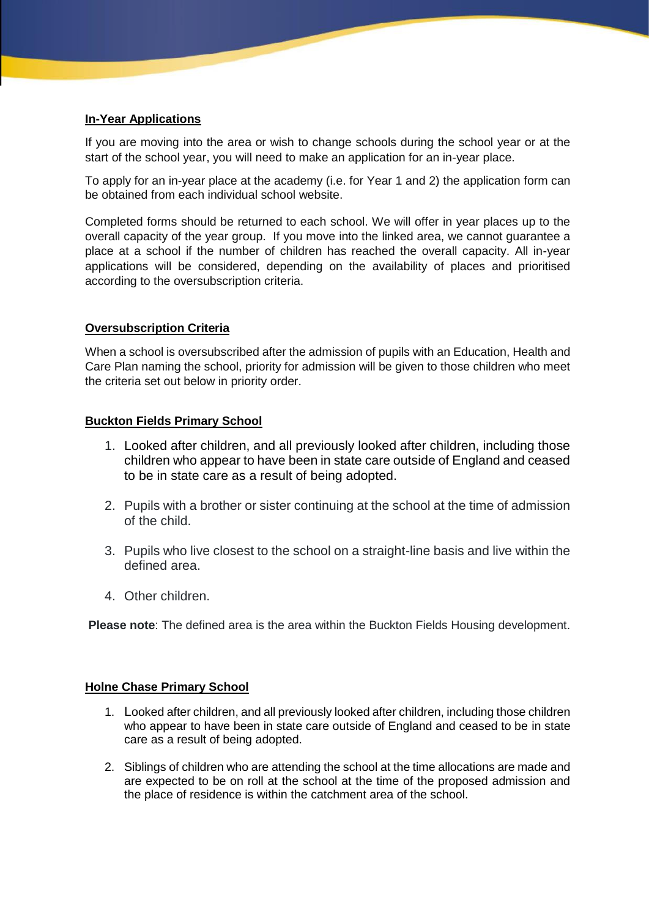#### **In-Year Applications**

If you are moving into the area or wish to change schools during the school year or at the start of the school year, you will need to make an application for an in-year place.

To apply for an in-year place at the academy (i.e. for Year 1 and 2) the application form can be obtained from each individual school website.

Completed forms should be returned to each school. We will offer in year places up to the overall capacity of the year group. If you move into the linked area, we cannot guarantee a place at a school if the number of children has reached the overall capacity. All in-year applications will be considered, depending on the availability of places and prioritised according to the oversubscription criteria.

# **Oversubscription Criteria**

When a school is oversubscribed after the admission of pupils with an Education, Health and Care Plan naming the school, priority for admission will be given to those children who meet the criteria set out below in priority order.

#### **Buckton Fields Primary School**

- 1. Looked after children, and all previously looked after children, including those children who appear to have been in state care outside of England and ceased to be in state care as a result of being adopted.
- 2. Pupils with a brother or sister continuing at the school at the time of admission of the child.
- 3. Pupils who live closest to the school on a straight-line basis and live within the defined area.
- 4. Other children.

**Please note**: The defined area is the area within the Buckton Fields Housing development.

#### **Holne Chase Primary School**

- 1. Looked after children, and all previously looked after children, including those children who appear to have been in state care outside of England and ceased to be in state care as a result of being adopted.
- 2. Siblings of children who are attending the school at the time allocations are made and are expected to be on roll at the school at the time of the proposed admission and the place of residence is within the catchment area of the school.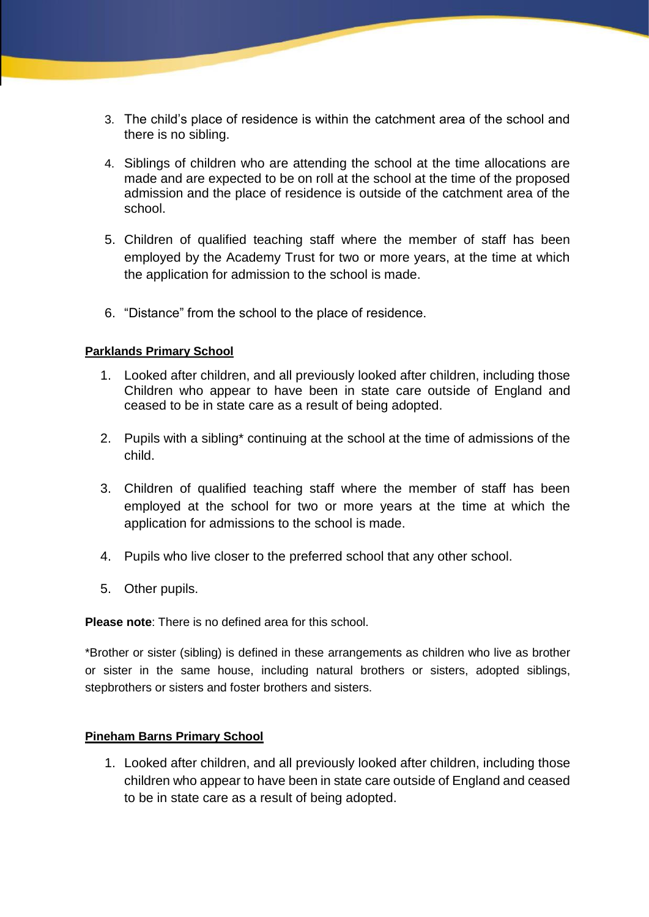- 3. The child's place of residence is within the catchment area of the school and there is no sibling.
- 4. Siblings of children who are attending the school at the time allocations are made and are expected to be on roll at the school at the time of the proposed admission and the place of residence is outside of the catchment area of the school.
- 5. Children of qualified teaching staff where the member of staff has been employed by the Academy Trust for two or more years, at the time at which the application for admission to the school is made.
- 6. "Distance" from the school to the place of residence.

# **Parklands Primary School**

- 1. Looked after children, and all previously looked after children, including those Children who appear to have been in state care outside of England and ceased to be in state care as a result of being adopted.
- 2. Pupils with a sibling\* continuing at the school at the time of admissions of the child.
- 3. Children of qualified teaching staff where the member of staff has been employed at the school for two or more years at the time at which the application for admissions to the school is made.
- 4. Pupils who live closer to the preferred school that any other school.
- 5. Other pupils.

**Please note**: There is no defined area for this school.

\*Brother or sister (sibling) is defined in these arrangements as children who live as brother or sister in the same house, including natural brothers or sisters, adopted siblings, stepbrothers or sisters and foster brothers and sisters.

#### **Pineham Barns Primary School**

1. Looked after children, and all previously looked after children, including those children who appear to have been in state care outside of England and ceased to be in state care as a result of being adopted.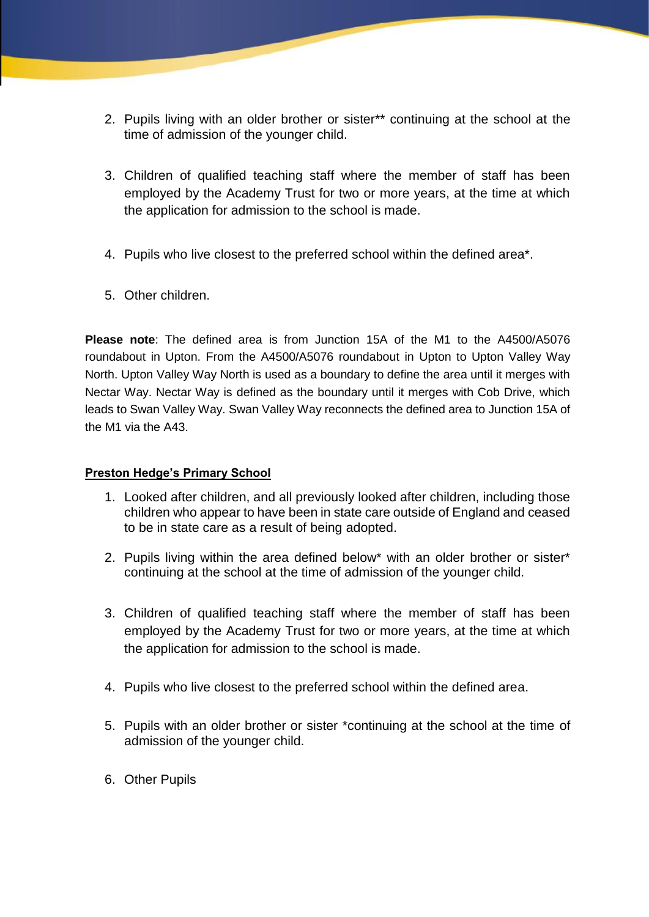- 2. Pupils living with an older brother or sister\*\* continuing at the school at the time of admission of the younger child.
- 3. Children of qualified teaching staff where the member of staff has been employed by the Academy Trust for two or more years, at the time at which the application for admission to the school is made.
- 4. Pupils who live closest to the preferred school within the defined area\*.
- 5. Other children.

**Please note**: The defined area is from Junction 15A of the M1 to the A4500/A5076 roundabout in Upton. From the A4500/A5076 roundabout in Upton to Upton Valley Way North. Upton Valley Way North is used as a boundary to define the area until it merges with Nectar Way. Nectar Way is defined as the boundary until it merges with Cob Drive, which leads to Swan Valley Way. Swan Valley Way reconnects the defined area to Junction 15A of the M1 via the A43.

# **Preston Hedge's Primary School**

- 1. Looked after children, and all previously looked after children, including those children who appear to have been in state care outside of England and ceased to be in state care as a result of being adopted.
- 2. Pupils living within the area defined below\* with an older brother or sister\* continuing at the school at the time of admission of the younger child.
- 3. Children of qualified teaching staff where the member of staff has been employed by the Academy Trust for two or more years, at the time at which the application for admission to the school is made.
- 4. Pupils who live closest to the preferred school within the defined area.
- 5. Pupils with an older brother or sister \*continuing at the school at the time of admission of the younger child.
- 6. Other Pupils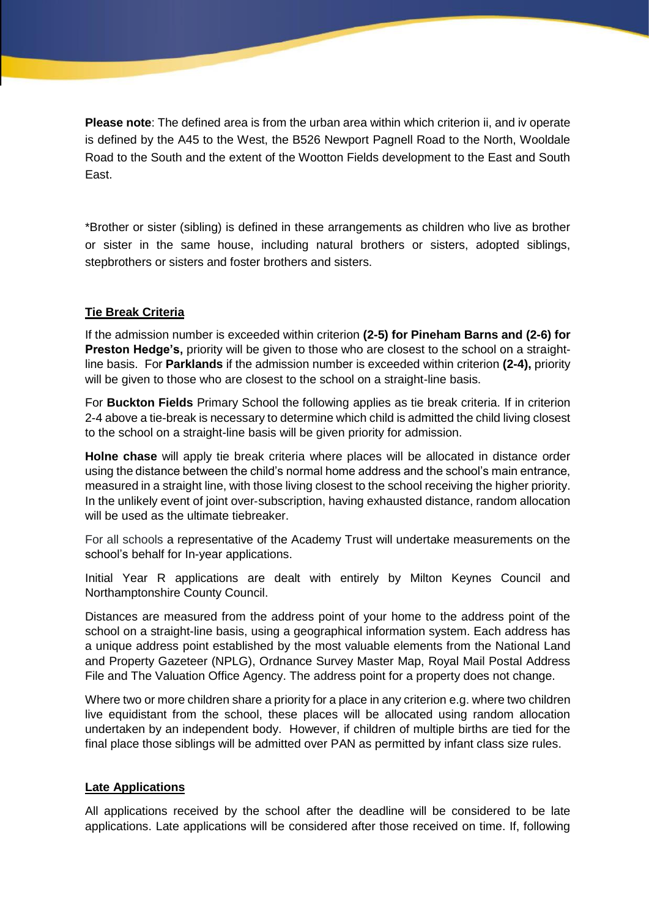**Please note**: The defined area is from the urban area within which criterion ii, and iv operate is defined by the A45 to the West, the B526 Newport Pagnell Road to the North, Wooldale Road to the South and the extent of the Wootton Fields development to the East and South East.

\*Brother or sister (sibling) is defined in these arrangements as children who live as brother or sister in the same house, including natural brothers or sisters, adopted siblings, stepbrothers or sisters and foster brothers and sisters.

# **Tie Break Criteria**

If the admission number is exceeded within criterion **(2-5) for Pineham Barns and (2-6) for Preston Hedge's,** priority will be given to those who are closest to the school on a straightline basis. For **Parklands** if the admission number is exceeded within criterion **(2-4),** priority will be given to those who are closest to the school on a straight-line basis.

For **Buckton Fields** Primary School the following applies as tie break criteria. If in criterion 2-4 above a tie-break is necessary to determine which child is admitted the child living closest to the school on a straight-line basis will be given priority for admission.

**Holne chase** will apply tie break criteria where places will be allocated in distance order using the distance between the child's normal home address and the school's main entrance, measured in a straight line, with those living closest to the school receiving the higher priority. In the unlikely event of joint over-subscription, having exhausted distance, random allocation will be used as the ultimate tiebreaker.

For all schools a representative of the Academy Trust will undertake measurements on the school's behalf for In-year applications.

Initial Year R applications are dealt with entirely by Milton Keynes Council and Northamptonshire County Council.

Distances are measured from the address point of your home to the address point of the school on a straight-line basis, using a geographical information system. Each address has a unique address point established by the most valuable elements from the National Land and Property Gazeteer (NPLG), Ordnance Survey Master Map, Royal Mail Postal Address File and The Valuation Office Agency. The address point for a property does not change.

Where two or more children share a priority for a place in any criterion e.g. where two children live equidistant from the school, these places will be allocated using random allocation undertaken by an independent body. However, if children of multiple births are tied for the final place those siblings will be admitted over PAN as permitted by infant class size rules.

#### **Late Applications**

All applications received by the school after the deadline will be considered to be late applications. Late applications will be considered after those received on time. If, following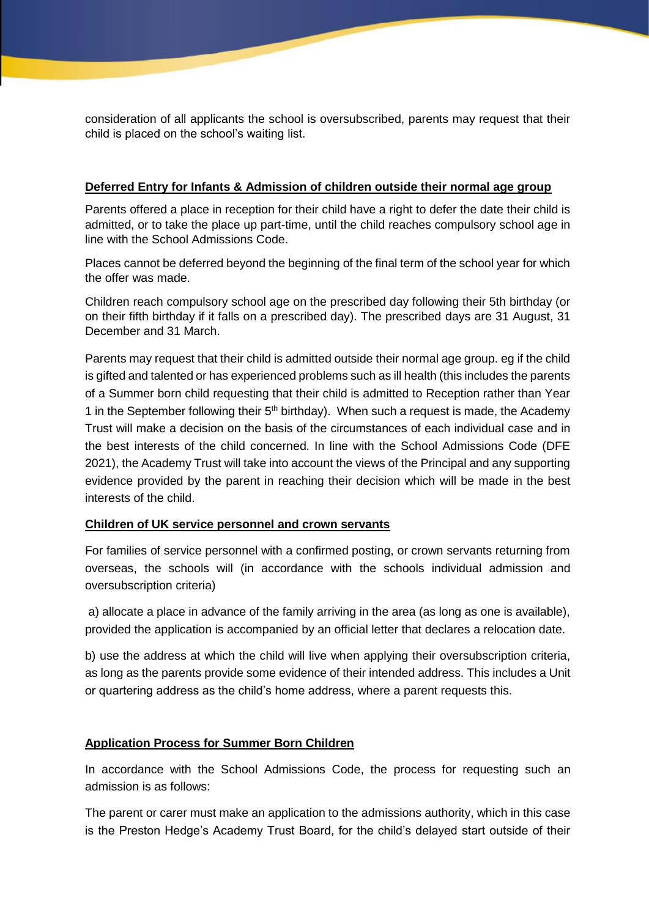consideration of all applicants the school is oversubscribed, parents may request that their child is placed on the school's waiting list.

#### **Deferred Entry for Infants & Admission of children outside their normal age group**

Parents offered a place in reception for their child have a right to defer the date their child is admitted, or to take the place up part-time, until the child reaches compulsory school age in line with the School Admissions Code.

Places cannot be deferred beyond the beginning of the final term of the school year for which the offer was made.

Children reach compulsory school age on the prescribed day following their 5th birthday (or on their fifth birthday if it falls on a prescribed day). The prescribed days are 31 August, 31 December and 31 March.

Parents may request that their child is admitted outside their normal age group. eg if the child is gifted and talented or has experienced problems such as ill health (this includes the parents of a Summer born child requesting that their child is admitted to Reception rather than Year 1 in the September following their  $5<sup>th</sup>$  birthday). When such a request is made, the Academy Trust will make a decision on the basis of the circumstances of each individual case and in the best interests of the child concerned. In line with the School Admissions Code (DFE 2021), the Academy Trust will take into account the views of the Principal and any supporting evidence provided by the parent in reaching their decision which will be made in the best interests of the child.

#### **Children of UK service personnel and crown servants**

For families of service personnel with a confirmed posting, or crown servants returning from overseas, the schools will (in accordance with the schools individual admission and oversubscription criteria)

a) allocate a place in advance of the family arriving in the area (as long as one is available), provided the application is accompanied by an official letter that declares a relocation date.

b) use the address at which the child will live when applying their oversubscription criteria, as long as the parents provide some evidence of their intended address. This includes a Unit or quartering address as the child's home address, where a parent requests this.

#### **Application Process for Summer Born Children**

In accordance with the School Admissions Code, the process for requesting such an admission is as follows:

The parent or carer must make an application to the admissions authority, which in this case is the Preston Hedge's Academy Trust Board, for the child's delayed start outside of their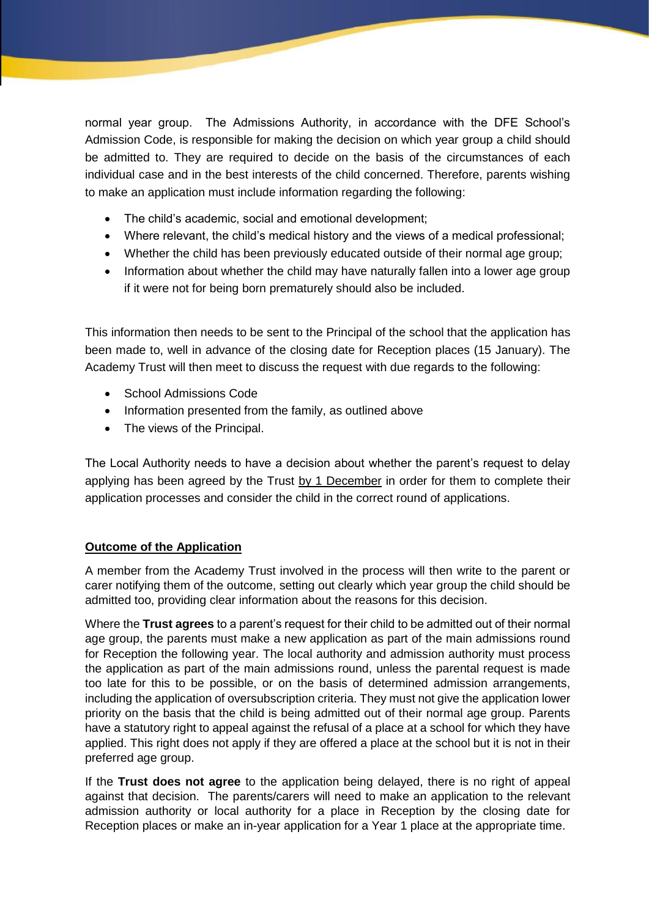normal year group. The Admissions Authority, in accordance with the DFE School's Admission Code, is responsible for making the decision on which year group a child should be admitted to. They are required to decide on the basis of the circumstances of each individual case and in the best interests of the child concerned. Therefore, parents wishing to make an application must include information regarding the following:

- The child's academic, social and emotional development;
- Where relevant, the child's medical history and the views of a medical professional;
- Whether the child has been previously educated outside of their normal age group;
- Information about whether the child may have naturally fallen into a lower age group if it were not for being born prematurely should also be included.

This information then needs to be sent to the Principal of the school that the application has been made to, well in advance of the closing date for Reception places (15 January). The Academy Trust will then meet to discuss the request with due regards to the following:

- School Admissions Code
- Information presented from the family, as outlined above
- The views of the Principal.

The Local Authority needs to have a decision about whether the parent's request to delay applying has been agreed by the Trust by 1 December in order for them to complete their application processes and consider the child in the correct round of applications.

# **Outcome of the Application**

A member from the Academy Trust involved in the process will then write to the parent or carer notifying them of the outcome, setting out clearly which year group the child should be admitted too, providing clear information about the reasons for this decision.

Where the **Trust agrees** to a parent's request for their child to be admitted out of their normal age group, the parents must make a new application as part of the main admissions round for Reception the following year. The local authority and admission authority must process the application as part of the main admissions round, unless the parental request is made too late for this to be possible, or on the basis of determined admission arrangements, including the application of oversubscription criteria. They must not give the application lower priority on the basis that the child is being admitted out of their normal age group. Parents have a statutory right to appeal against the refusal of a place at a school for which they have applied. This right does not apply if they are offered a place at the school but it is not in their preferred age group.

If the **Trust does not agree** to the application being delayed, there is no right of appeal against that decision. The parents/carers will need to make an application to the relevant admission authority or local authority for a place in Reception by the closing date for Reception places or make an in-year application for a Year 1 place at the appropriate time.